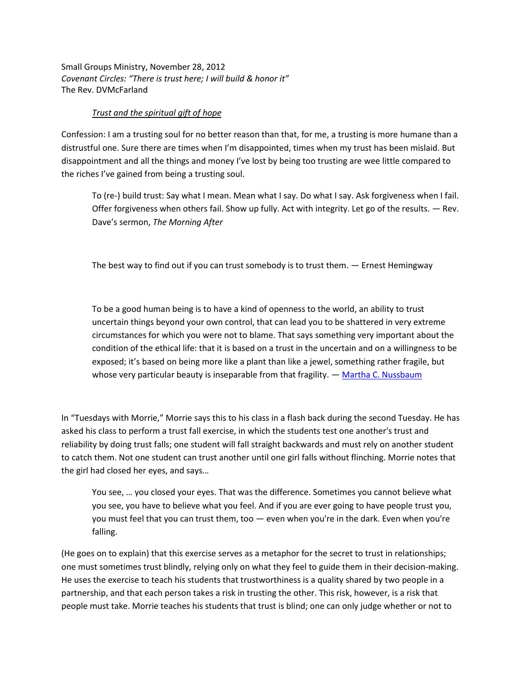Small Groups Ministry, November 28, 2012 *Covenant Circles: "There is trust here; I will build & honor it"* The Rev. DVMcFarland

## *Trust and the spiritual gift of hope*

Confession: I am a trusting soul for no better reason than that, for me, a trusting is more humane than a distrustful one. Sure there are times when I'm disappointed, times when my trust has been mislaid. But disappointment and all the things and money I've lost by being too trusting are wee little compared to the riches I've gained from being a trusting soul.

To (re-) build trust: Say what I mean. Mean what I say. Do what I say. Ask forgiveness when I fail. Offer forgiveness when others fail. Show up fully. Act with integrity. Let go of the results. ― Rev. Dave's sermon, *The Morning After* 

The best way to find out if you can trust somebody is to trust them.  $-$  Ernest Hemingway

To be a good human being is to have a kind of openness to the world, an ability to trust uncertain things beyond your own control, that can lead you to be shattered in very extreme circumstances for which you were not to blame. That says something very important about the condition of the ethical life: that it is based on a trust in the uncertain and on a willingness to be exposed; it's based on being more like a plant than like a jewel, something rather fragile, but whose very particular beauty is inseparable from that fragility.  $-$  [Martha C. Nussbaum](http://www.goodreads.com/author/show/20757.Martha_C_Nussbaum)

In "Tuesdays with Morrie," Morrie says this to his class in a flash back during the second Tuesday. He has asked his class to perform a trust fall exercise, in which the students test one another's trust and reliability by doing trust falls; one student will fall straight backwards and must rely on another student to catch them. Not one student can trust another until one girl falls without flinching. Morrie notes that the girl had closed her eyes, and says…

You see, … you closed your eyes. That was the difference. Sometimes you cannot believe what you see, you have to believe what you feel. And if you are ever going to have people trust you, you must feel that you can trust them, too — even when you're in the dark. Even when you're falling.

(He goes on to explain) that this exercise serves as a metaphor for the secret to trust in relationships; one must sometimes trust blindly, relying only on what they feel to guide them in their decision-making. He uses the exercise to teach his students that trustworthiness is a quality shared by two people in a partnership, and that each person takes a risk in trusting the other. This risk, however, is a risk that people must take. Morrie teaches his students that trust is blind; one can only judge whether or not to